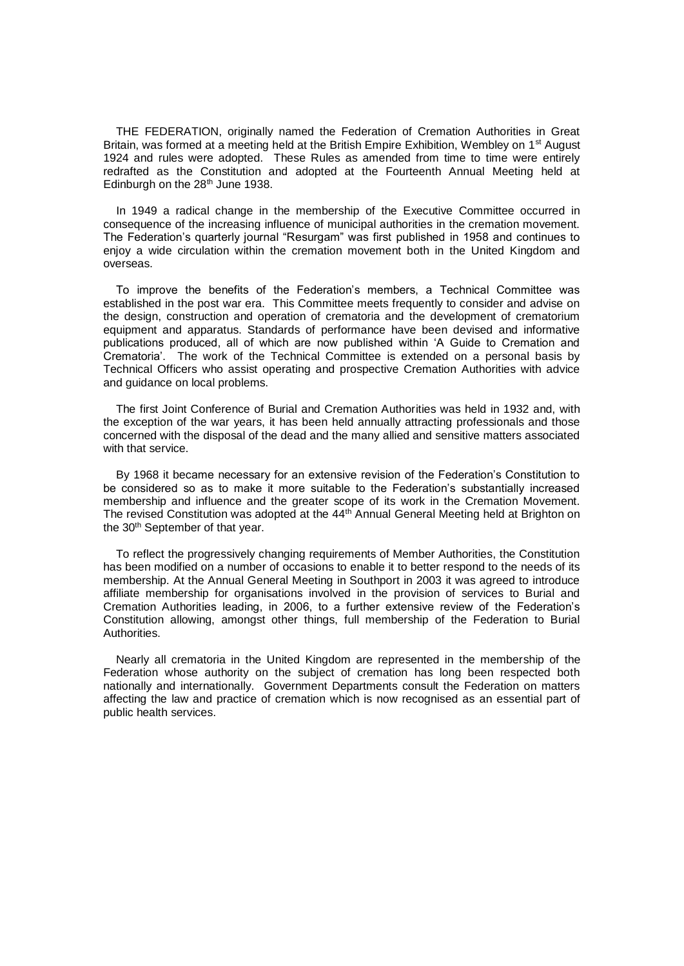THE FEDERATION, originally named the Federation of Cremation Authorities in Great Britain, was formed at a meeting held at the British Empire Exhibition, Wembley on 1<sup>st</sup> August 1924 and rules were adopted. These Rules as amended from time to time were entirely redrafted as the Constitution and adopted at the Fourteenth Annual Meeting held at Edinburgh on the 28<sup>th</sup> June 1938.

 In 1949 a radical change in the membership of the Executive Committee occurred in consequence of the increasing influence of municipal authorities in the cremation movement. The Federation's quarterly journal "Resurgam" was first published in 1958 and continues to enjoy a wide circulation within the cremation movement both in the United Kingdom and overseas.

 To improve the benefits of the Federation's members, a Technical Committee was established in the post war era. This Committee meets frequently to consider and advise on the design, construction and operation of crematoria and the development of crematorium equipment and apparatus. Standards of performance have been devised and informative publications produced, all of which are now published within 'A Guide to Cremation and Crematoria'. The work of the Technical Committee is extended on a personal basis by Technical Officers who assist operating and prospective Cremation Authorities with advice and guidance on local problems.

 The first Joint Conference of Burial and Cremation Authorities was held in 1932 and, with the exception of the war years, it has been held annually attracting professionals and those concerned with the disposal of the dead and the many allied and sensitive matters associated with that service.

 By 1968 it became necessary for an extensive revision of the Federation's Constitution to be considered so as to make it more suitable to the Federation's substantially increased membership and influence and the greater scope of its work in the Cremation Movement. The revised Constitution was adopted at the 44<sup>th</sup> Annual General Meeting held at Brighton on the 30<sup>th</sup> September of that year.

 To reflect the progressively changing requirements of Member Authorities, the Constitution has been modified on a number of occasions to enable it to better respond to the needs of its membership. At the Annual General Meeting in Southport in 2003 it was agreed to introduce affiliate membership for organisations involved in the provision of services to Burial and Cremation Authorities leading, in 2006, to a further extensive review of the Federation's Constitution allowing, amongst other things, full membership of the Federation to Burial Authorities.

 Nearly all crematoria in the United Kingdom are represented in the membership of the Federation whose authority on the subject of cremation has long been respected both nationally and internationally. Government Departments consult the Federation on matters affecting the law and practice of cremation which is now recognised as an essential part of public health services.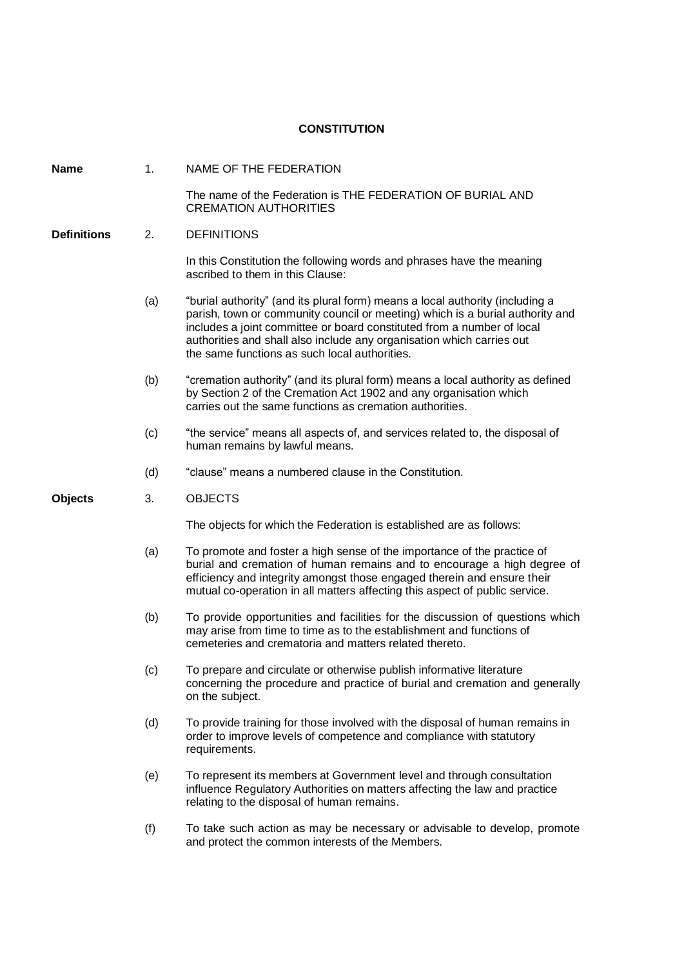# **CONSTITUTION**

| <b>Name</b>        | 1.  | NAME OF THE FEDERATION                                                                                                                                                                                                                                                                                                                                             |
|--------------------|-----|--------------------------------------------------------------------------------------------------------------------------------------------------------------------------------------------------------------------------------------------------------------------------------------------------------------------------------------------------------------------|
|                    |     | The name of the Federation is THE FEDERATION OF BURIAL AND<br><b>CREMATION AUTHORITIES</b>                                                                                                                                                                                                                                                                         |
| <b>Definitions</b> | 2.  | <b>DEFINITIONS</b>                                                                                                                                                                                                                                                                                                                                                 |
|                    |     | In this Constitution the following words and phrases have the meaning<br>ascribed to them in this Clause:                                                                                                                                                                                                                                                          |
|                    | (a) | "burial authority" (and its plural form) means a local authority (including a<br>parish, town or community council or meeting) which is a burial authority and<br>includes a joint committee or board constituted from a number of local<br>authorities and shall also include any organisation which carries out<br>the same functions as such local authorities. |
|                    | (b) | "cremation authority" (and its plural form) means a local authority as defined<br>by Section 2 of the Cremation Act 1902 and any organisation which<br>carries out the same functions as cremation authorities.                                                                                                                                                    |
|                    | (c) | "the service" means all aspects of, and services related to, the disposal of<br>human remains by lawful means.                                                                                                                                                                                                                                                     |
|                    | (d) | "clause" means a numbered clause in the Constitution.                                                                                                                                                                                                                                                                                                              |
| <b>Objects</b>     | 3.  | <b>OBJECTS</b>                                                                                                                                                                                                                                                                                                                                                     |
|                    |     | The objects for which the Federation is established are as follows:                                                                                                                                                                                                                                                                                                |
|                    | (a) | To promote and foster a high sense of the importance of the practice of<br>burial and cremation of human remains and to encourage a high degree of<br>efficiency and integrity amongst those engaged therein and ensure their<br>mutual co-operation in all matters affecting this aspect of public service.                                                       |
|                    | (b) | To provide opportunities and facilities for the discussion of questions which<br>may arise from time to time as to the establishment and functions of<br>cemeteries and crematoria and matters related thereto.                                                                                                                                                    |
|                    | (c) | To prepare and circulate or otherwise publish informative literature<br>concerning the procedure and practice of burial and cremation and generally<br>on the subject.                                                                                                                                                                                             |
|                    | (d) | To provide training for those involved with the disposal of human remains in<br>order to improve levels of competence and compliance with statutory<br>requirements.                                                                                                                                                                                               |
|                    | (e) | To represent its members at Government level and through consultation<br>influence Regulatory Authorities on matters affecting the law and practice<br>relating to the disposal of human remains.                                                                                                                                                                  |
|                    | (f) | To take such action as may be necessary or advisable to develop, promote<br>and protect the common interests of the Members.                                                                                                                                                                                                                                       |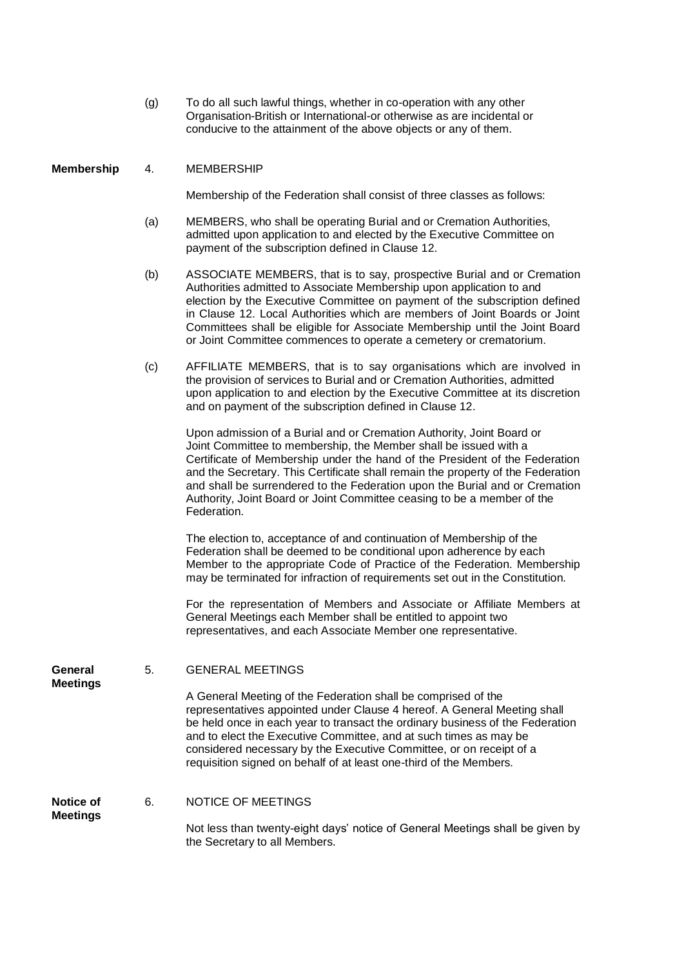(g) To do all such lawful things, whether in co-operation with any other Organisation-British or International-or otherwise as are incidental or conducive to the attainment of the above objects or any of them.

#### **Membership** 4. MEMBERSHIP

Membership of the Federation shall consist of three classes as follows:

- (a) MEMBERS, who shall be operating Burial and or Cremation Authorities, admitted upon application to and elected by the Executive Committee on payment of the subscription defined in Clause 12.
- (b) ASSOCIATE MEMBERS, that is to say, prospective Burial and or Cremation Authorities admitted to Associate Membership upon application to and election by the Executive Committee on payment of the subscription defined in Clause 12. Local Authorities which are members of Joint Boards or Joint Committees shall be eligible for Associate Membership until the Joint Board or Joint Committee commences to operate a cemetery or crematorium.
- (c) AFFILIATE MEMBERS, that is to say organisations which are involved in the provision of services to Burial and or Cremation Authorities, admitted upon application to and election by the Executive Committee at its discretion and on payment of the subscription defined in Clause 12.

Upon admission of a Burial and or Cremation Authority, Joint Board or Joint Committee to membership, the Member shall be issued with a Certificate of Membership under the hand of the President of the Federation and the Secretary. This Certificate shall remain the property of the Federation and shall be surrendered to the Federation upon the Burial and or Cremation Authority, Joint Board or Joint Committee ceasing to be a member of the Federation.

The election to, acceptance of and continuation of Membership of the Federation shall be deemed to be conditional upon adherence by each Member to the appropriate Code of Practice of the Federation. Membership may be terminated for infraction of requirements set out in the Constitution.

For the representation of Members and Associate or Affiliate Members at General Meetings each Member shall be entitled to appoint two representatives, and each Associate Member one representative.

**Meetings**

**Meetings**

**General** 5. GENERAL MEETINGS

A General Meeting of the Federation shall be comprised of the representatives appointed under Clause 4 hereof. A General Meeting shall be held once in each year to transact the ordinary business of the Federation and to elect the Executive Committee, and at such times as may be considered necessary by the Executive Committee, or on receipt of a requisition signed on behalf of at least one-third of the Members.

#### **Notice of** 6. NOTICE OF MEETINGS

Not less than twenty-eight days' notice of General Meetings shall be given by the Secretary to all Members.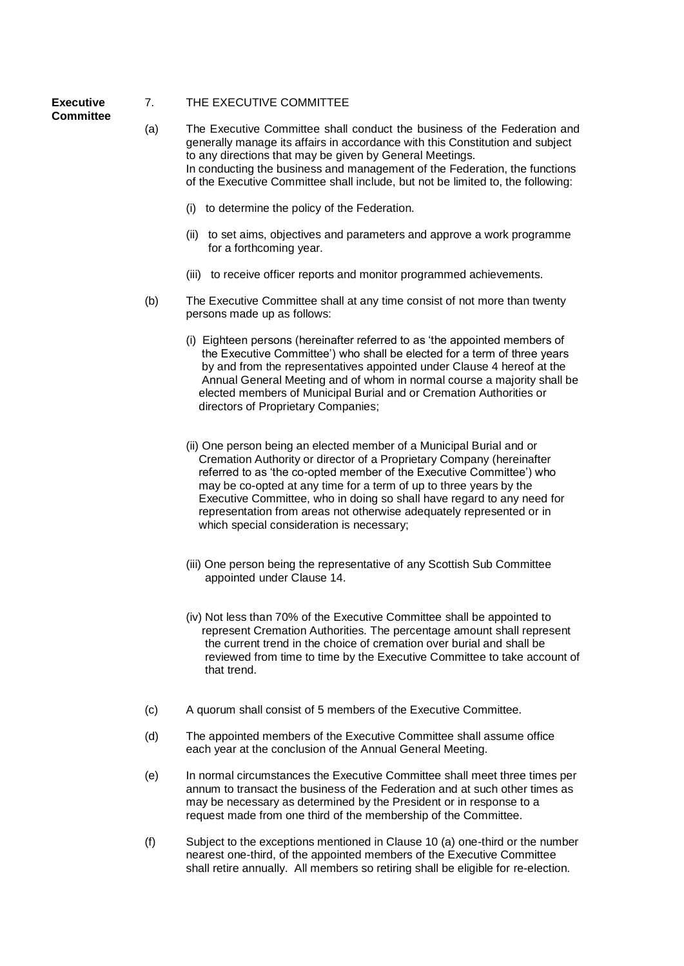# **Committee**

## **Executive** 7. THE EXECUTIVE COMMITTEE

- (a) The Executive Committee shall conduct the business of the Federation and generally manage its affairs in accordance with this Constitution and subject to any directions that may be given by General Meetings. In conducting the business and management of the Federation, the functions of the Executive Committee shall include, but not be limited to, the following:
	- (i) to determine the policy of the Federation.
	- (ii) to set aims, objectives and parameters and approve a work programme for a forthcoming year.
	- (iii) to receive officer reports and monitor programmed achievements.
- (b) The Executive Committee shall at any time consist of not more than twenty persons made up as follows:
	- (i) Eighteen persons (hereinafter referred to as 'the appointed members of the Executive Committee') who shall be elected for a term of three years by and from the representatives appointed under Clause 4 hereof at the Annual General Meeting and of whom in normal course a majority shall be elected members of Municipal Burial and or Cremation Authorities or directors of Proprietary Companies;
	- (ii) One person being an elected member of a Municipal Burial and or Cremation Authority or director of a Proprietary Company (hereinafter referred to as 'the co-opted member of the Executive Committee') who may be co-opted at any time for a term of up to three years by the Executive Committee, who in doing so shall have regard to any need for representation from areas not otherwise adequately represented or in which special consideration is necessary;
	- (iii) One person being the representative of any Scottish Sub Committee appointed under Clause 14.
	- (iv) Not less than 70% of the Executive Committee shall be appointed to represent Cremation Authorities. The percentage amount shall represent the current trend in the choice of cremation over burial and shall be reviewed from time to time by the Executive Committee to take account of that trend.
- (c) A quorum shall consist of 5 members of the Executive Committee.
- (d) The appointed members of the Executive Committee shall assume office each year at the conclusion of the Annual General Meeting.
- (e) In normal circumstances the Executive Committee shall meet three times per annum to transact the business of the Federation and at such other times as may be necessary as determined by the President or in response to a request made from one third of the membership of the Committee.
- (f) Subject to the exceptions mentioned in Clause 10 (a) one-third or the number nearest one-third, of the appointed members of the Executive Committee shall retire annually. All members so retiring shall be eligible for re-election.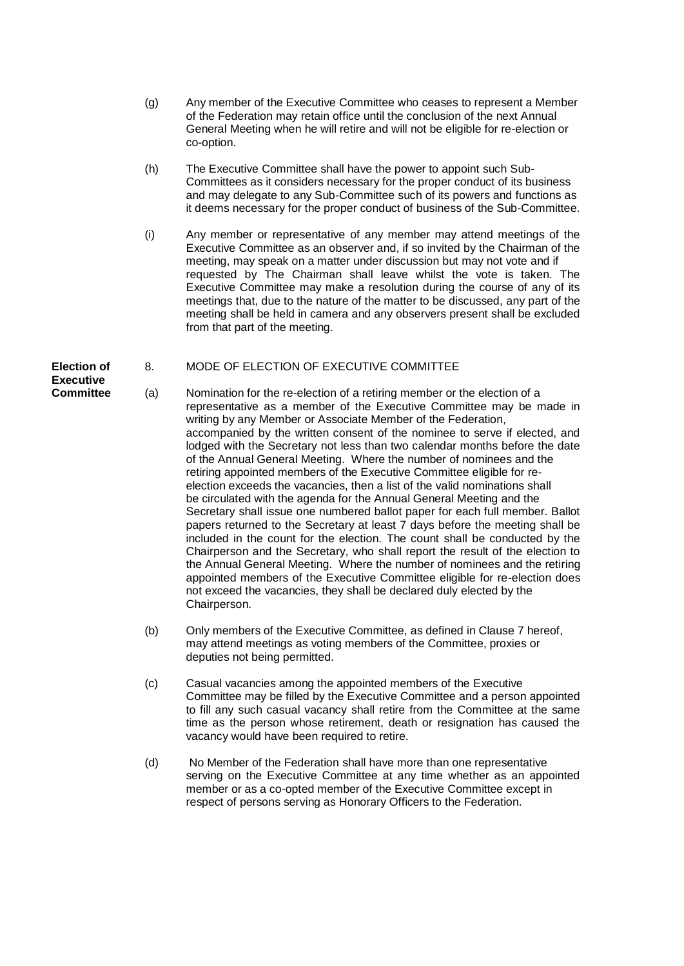- (g) Any member of the Executive Committee who ceases to represent a Member of the Federation may retain office until the conclusion of the next Annual General Meeting when he will retire and will not be eligible for re-election or co-option.
- (h) The Executive Committee shall have the power to appoint such Sub-Committees as it considers necessary for the proper conduct of its business and may delegate to any Sub-Committee such of its powers and functions as it deems necessary for the proper conduct of business of the Sub-Committee.
- (i) Any member or representative of any member may attend meetings of the Executive Committee as an observer and, if so invited by the Chairman of the meeting, may speak on a matter under discussion but may not vote and if requested by The Chairman shall leave whilst the vote is taken. The Executive Committee may make a resolution during the course of any of its meetings that, due to the nature of the matter to be discussed, any part of the meeting shall be held in camera and any observers present shall be excluded from that part of the meeting.

# **Election of** 8. MODE OF ELECTION OF EXECUTIVE COMMITTEE

**Executive** 

- **Committee** (a) Nomination for the re-election of a retiring member or the election of a representative as a member of the Executive Committee may be made in writing by any Member or Associate Member of the Federation, accompanied by the written consent of the nominee to serve if elected, and lodged with the Secretary not less than two calendar months before the date of the Annual General Meeting. Where the number of nominees and the retiring appointed members of the Executive Committee eligible for reelection exceeds the vacancies, then a list of the valid nominations shall be circulated with the agenda for the Annual General Meeting and the Secretary shall issue one numbered ballot paper for each full member. Ballot papers returned to the Secretary at least 7 days before the meeting shall be included in the count for the election. The count shall be conducted by the Chairperson and the Secretary, who shall report the result of the election to the Annual General Meeting. Where the number of nominees and the retiring appointed members of the Executive Committee eligible for re-election does not exceed the vacancies, they shall be declared duly elected by the Chairperson.
	- (b) Only members of the Executive Committee, as defined in Clause 7 hereof, may attend meetings as voting members of the Committee, proxies or deputies not being permitted.
	- (c) Casual vacancies among the appointed members of the Executive Committee may be filled by the Executive Committee and a person appointed to fill any such casual vacancy shall retire from the Committee at the same time as the person whose retirement, death or resignation has caused the vacancy would have been required to retire.
	- (d) No Member of the Federation shall have more than one representative serving on the Executive Committee at any time whether as an appointed member or as a co-opted member of the Executive Committee except in respect of persons serving as Honorary Officers to the Federation.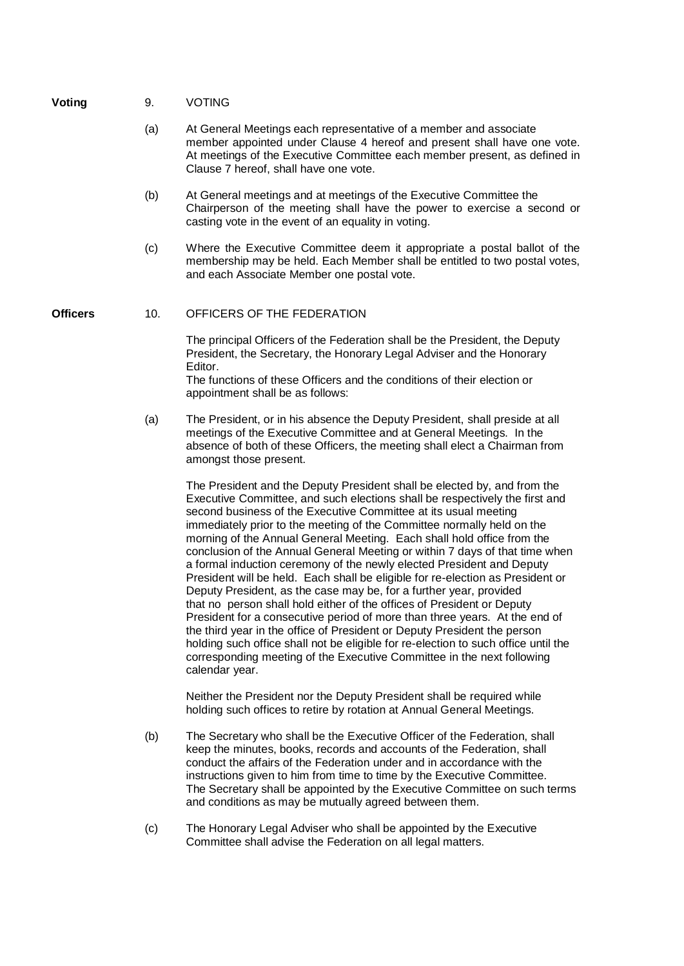# **Voting** 9. VOTING

- (a) At General Meetings each representative of a member and associate member appointed under Clause 4 hereof and present shall have one vote. At meetings of the Executive Committee each member present, as defined in Clause 7 hereof, shall have one vote.
- (b) At General meetings and at meetings of the Executive Committee the Chairperson of the meeting shall have the power to exercise a second or casting vote in the event of an equality in voting.
- (c) Where the Executive Committee deem it appropriate a postal ballot of the membership may be held. Each Member shall be entitled to two postal votes, and each Associate Member one postal vote.

#### **Officers** 10. OFFICERS OF THE FEDERATION

The principal Officers of the Federation shall be the President, the Deputy President, the Secretary, the Honorary Legal Adviser and the Honorary Editor. The functions of these Officers and the conditions of their election or appointment shall be as follows:

(a) The President, or in his absence the Deputy President, shall preside at all meetings of the Executive Committee and at General Meetings. In the absence of both of these Officers, the meeting shall elect a Chairman from amongst those present.

The President and the Deputy President shall be elected by, and from the Executive Committee, and such elections shall be respectively the first and second business of the Executive Committee at its usual meeting immediately prior to the meeting of the Committee normally held on the morning of the Annual General Meeting. Each shall hold office from the conclusion of the Annual General Meeting or within 7 days of that time when a formal induction ceremony of the newly elected President and Deputy President will be held. Each shall be eligible for re-election as President or Deputy President, as the case may be, for a further year, provided that no person shall hold either of the offices of President or Deputy President for a consecutive period of more than three years. At the end of the third year in the office of President or Deputy President the person holding such office shall not be eligible for re-election to such office until the corresponding meeting of the Executive Committee in the next following calendar year.

Neither the President nor the Deputy President shall be required while holding such offices to retire by rotation at Annual General Meetings.

- (b) The Secretary who shall be the Executive Officer of the Federation, shall keep the minutes, books, records and accounts of the Federation, shall conduct the affairs of the Federation under and in accordance with the instructions given to him from time to time by the Executive Committee. The Secretary shall be appointed by the Executive Committee on such terms and conditions as may be mutually agreed between them.
- (c) The Honorary Legal Adviser who shall be appointed by the Executive Committee shall advise the Federation on all legal matters.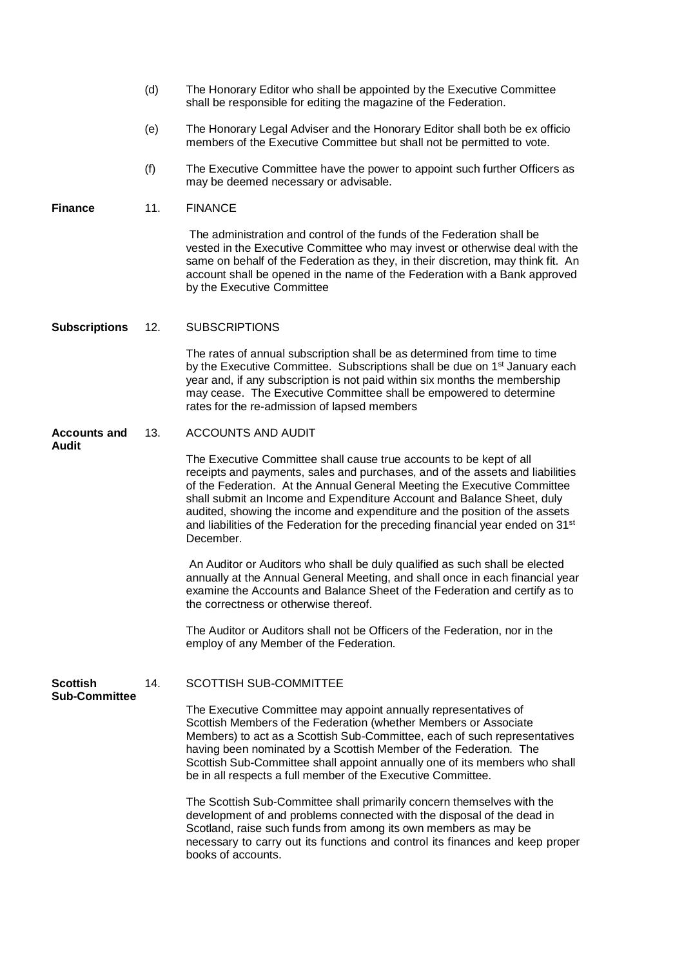- (d) The Honorary Editor who shall be appointed by the Executive Committee shall be responsible for editing the magazine of the Federation.
- (e) The Honorary Legal Adviser and the Honorary Editor shall both be ex officio members of the Executive Committee but shall not be permitted to vote.
- (f) The Executive Committee have the power to appoint such further Officers as may be deemed necessary or advisable.

# **Finance** 11. FINANCE

The administration and control of the funds of the Federation shall be vested in the Executive Committee who may invest or otherwise deal with the same on behalf of the Federation as they, in their discretion, may think fit. An account shall be opened in the name of the Federation with a Bank approved by the Executive Committee

**Subscriptions** 12. SUBSCRIPTIONS

The rates of annual subscription shall be as determined from time to time by the Executive Committee. Subscriptions shall be due on 1<sup>st</sup> January each year and, if any subscription is not paid within six months the membership may cease. The Executive Committee shall be empowered to determine rates for the re-admission of lapsed members

### **Accounts and** 13. ACCOUNTS AND AUDIT

**Audit**

The Executive Committee shall cause true accounts to be kept of all receipts and payments, sales and purchases, and of the assets and liabilities of the Federation. At the Annual General Meeting the Executive Committee shall submit an Income and Expenditure Account and Balance Sheet, duly audited, showing the income and expenditure and the position of the assets and liabilities of the Federation for the preceding financial year ended on 31<sup>st</sup> December.

An Auditor or Auditors who shall be duly qualified as such shall be elected annually at the Annual General Meeting, and shall once in each financial year examine the Accounts and Balance Sheet of the Federation and certify as to the correctness or otherwise thereof.

The Auditor or Auditors shall not be Officers of the Federation, nor in the employ of any Member of the Federation.

**Sub-Committee**

**Scottish** 14. SCOTTISH SUB-COMMITTEE

The Executive Committee may appoint annually representatives of Scottish Members of the Federation (whether Members or Associate Members) to act as a Scottish Sub-Committee, each of such representatives having been nominated by a Scottish Member of the Federation. The Scottish Sub-Committee shall appoint annually one of its members who shall be in all respects a full member of the Executive Committee.

The Scottish Sub-Committee shall primarily concern themselves with the development of and problems connected with the disposal of the dead in Scotland, raise such funds from among its own members as may be necessary to carry out its functions and control its finances and keep proper books of accounts.